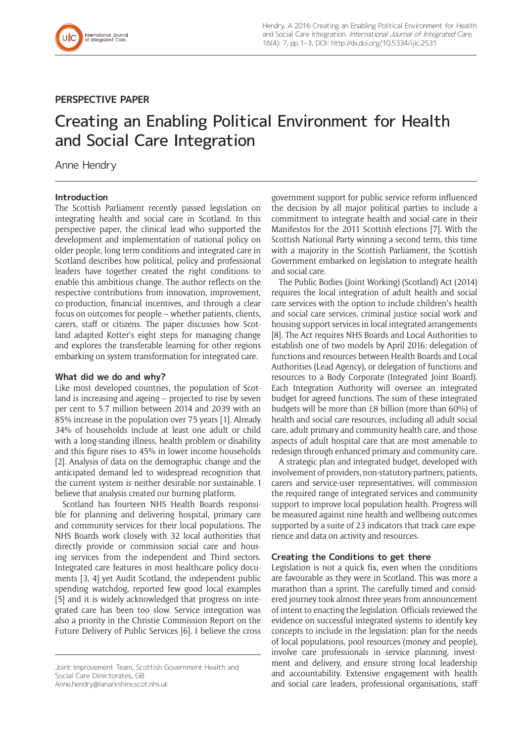

## **PERSPECTIVE PAPER**

# Creating an Enabling Political Environment for Health and Social Care Integration

Anne Hendry

## **Introduction**

The Scottish Parliament recently passed legislation on integrating health and social care in Scotland. In this perspective paper, the clinical lead who supported the development and implementation of national policy on older people, long term conditions and integrated care in Scotland describes how political, policy and professional leaders have together created the right conditions to enable this ambitious change. The author reflects on the respective contributions from innovation, improvement, co-production, financial incentives, and through a clear focus on outcomes for people – whether patients, clients, carers, staff or citizens. The paper discusses how Scotland adapted Kotter's eight steps for managing change and explores the transferable learning for other regions embarking on system transformation for integrated care.

#### **What did we do and why?**

Like most developed countries, the population of Scotland is increasing and ageing – projected to rise by seven per cent to 5.7 million between 2014 and 2039 with an 85% increase in the population over 75 years [1]. Already 34% of households include at least one adult or child with a long-standing illness, health problem or disability and this figure rises to 45% in lower income households [2]. Analysis of data on the demographic change and the anticipated demand led to widespread recognition that the current system is neither desirable nor sustainable. I believe that analysis created our burning platform.

Scotland has fourteen NHS Health Boards responsible for planning and delivering hospital, primary care and community services for their local populations. The NHS Boards work closely with 32 local authorities that directly provide or commission social care and housing services from the independent and Third sectors. Integrated care features in most healthcare policy documents [3, 4] yet Audit Scotland, the independent public spending watchdog, reported few good local examples [5] and it is widely acknowledged that progress on integrated care has been too slow. Service integration was also a priority in the Christie Commission Report on the Future Delivery of Public Services [6]. I believe the cross

[Anne.hendry@lanarkshire.scot.nhs.uk](mailto:Anne.hendry@lanarkshire.scot.nhs.uk)

government support for public service reform influenced the decision by all major political parties to include a commitment to integrate health and social care in their Manifestos for the 2011 Scottish elections [7]. With the Scottish National Party winning a second term, this time with a majority in the Scottish Parliament, the Scottish Government embarked on legislation to integrate health and social care.

The Public Bodies (Joint Working) (Scotland) Act (2014) requires the local integration of adult health and social care services with the option to include children's health and social care services, criminal justice social work and housing support services in local integrated arrangements [8]. The Act requires NHS Boards and Local Authorities to establish one of two models by April 2016: delegation of functions and resources between Health Boards and Local Authorities (Lead Agency), or delegation of functions and resources to a Body Corporate (Integrated Joint Board). Each Integration Authority will oversee an integrated budget for agreed functions. The sum of these integrated budgets will be more than £8 billion (more than 60%) of health and social care resources, including all adult social care, adult primary and community health care, and those aspects of adult hospital care that are most amenable to redesign through enhanced primary and community care.

A strategic plan and integrated budget, developed with involvement of providers, non-statutory partners, patients, carers and service-user representatives, will commission the required range of integrated services and community support to improve local population health. Progress will be measured against nine health and wellbeing outcomes supported by a suite of 23 indicators that track care experience and data on activity and resources.

#### **Creating the Conditions to get there**

Legislation is not a quick fix, even when the conditions are favourable as they were in Scotland. This was more a marathon than a sprint. The carefully timed and considered journey took almost three years from announcement of intent to enacting the legislation. Officials reviewed the evidence on successful integrated systems to identify key concepts to include in the legislation: plan for the needs of local populations, pool resources (money and people), involve care professionals in service planning, investment and delivery, and ensure strong local leadership and accountability. Extensive engagement with health and social care leaders, professional organisations, staff

Joint Improvement Team, Scottish Government Health and Social Care Directorates, GB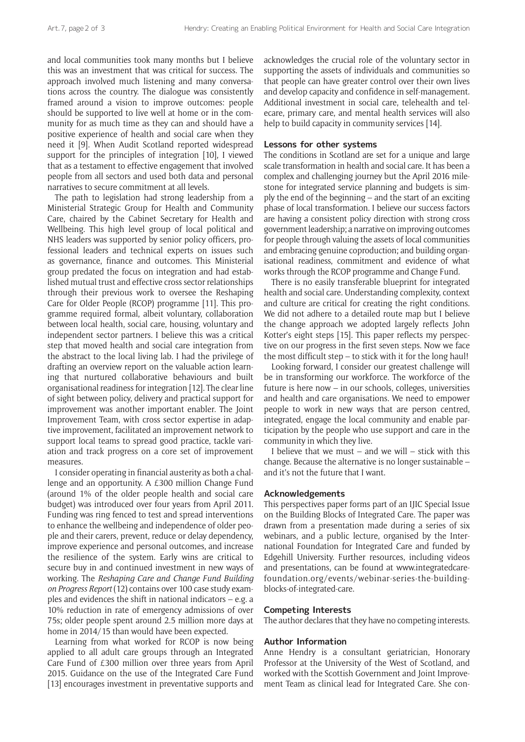and local communities took many months but I believe this was an investment that was critical for success. The approach involved much listening and many conversations across the country. The dialogue was consistently framed around a vision to improve outcomes: people should be supported to live well at home or in the community for as much time as they can and should have a positive experience of health and social care when they need it [9]. When Audit Scotland reported widespread support for the principles of integration [10], I viewed that as a testament to effective engagement that involved people from all sectors and used both data and personal narratives to secure commitment at all levels.

The path to legislation had strong leadership from a Ministerial Strategic Group for Health and Community Care, chaired by the Cabinet Secretary for Health and Wellbeing. This high level group of local political and NHS leaders was supported by senior policy officers, professional leaders and technical experts on issues such as governance, finance and outcomes. This Ministerial group predated the focus on integration and had established mutual trust and effective cross sector relationships through their previous work to oversee the Reshaping Care for Older People (RCOP) programme [11]. This programme required formal, albeit voluntary, collaboration between local health, social care, housing, voluntary and independent sector partners. I believe this was a critical step that moved health and social care integration from the abstract to the local living lab. I had the privilege of drafting an overview report on the valuable action learning that nurtured collaborative behaviours and built organisational readiness for integration [12]. The clear line of sight between policy, delivery and practical support for improvement was another important enabler. The Joint Improvement Team, with cross sector expertise in adaptive improvement, facilitated an improvement network to support local teams to spread good practice, tackle variation and track progress on a core set of improvement measures.

I consider operating in financial austerity as both a challenge and an opportunity. A £300 million Change Fund (around 1% of the older people health and social care budget) was introduced over four years from April 2011. Funding was ring fenced to test and spread interventions to enhance the wellbeing and independence of older people and their carers, prevent, reduce or delay dependency, improve experience and personal outcomes, and increase the resilience of the system. Early wins are critical to secure buy in and continued investment in new ways of working. The *Reshaping Care and Change Fund Building on Progress Report* (12) contains over 100 case study examples and evidences the shift in national indicators – e.g. a 10% reduction in rate of emergency admissions of over 75s; older people spent around 2.5 million more days at home in 2014/15 than would have been expected.

Learning from what worked for RCOP is now being applied to all adult care groups through an Integrated Care Fund of £300 million over three years from April 2015. Guidance on the use of the Integrated Care Fund [13] encourages investment in preventative supports and

acknowledges the crucial role of the voluntary sector in supporting the assets of individuals and communities so that people can have greater control over their own lives and develop capacity and confidence in self-management. Additional investment in social care, telehealth and telecare, primary care, and mental health services will also help to build capacity in community services [14].

## **Lessons for other systems**

The conditions in Scotland are set for a unique and large scale transformation in health and social care. It has been a complex and challenging journey but the April 2016 milestone for integrated service planning and budgets is simply the end of the beginning – and the start of an exciting phase of local transformation. I believe our success factors are having a consistent policy direction with strong cross government leadership; a narrative on improving outcomes for people through valuing the assets of local communities and embracing genuine coproduction; and building organisational readiness, commitment and evidence of what works through the RCOP programme and Change Fund.

There is no easily transferable blueprint for integrated health and social care. Understanding complexity, context and culture are critical for creating the right conditions. We did not adhere to a detailed route map but I believe the change approach we adopted largely reflects John Kotter's eight steps [15]. This paper reflects my perspective on our progress in the first seven steps. Now we face the most difficult step – to stick with it for the long haul!

Looking forward, I consider our greatest challenge will be in transforming our workforce. The workforce of the future is here now – in our schools, colleges, universities and health and care organisations. We need to empower people to work in new ways that are person centred, integrated, engage the local community and enable participation by the people who use support and care in the community in which they live.

I believe that we must  $-$  and we will  $-$  stick with this change. Because the alternative is no longer sustainable – and it's not the future that I want.

#### **Acknowledgements**

This perspectives paper forms part of an IJIC Special Issue on the Building Blocks of Integrated Care. The paper was drawn from a presentation made during a series of six webinars, and a public lecture, organised by the International Foundation for Integrated Care and funded by Edgehill University. Further resources, including videos and presentations, can be found at [www.integratedcare](http://www.integratedcarefoundation.org/events/webinar-series-the-building-blocks-of-integrated-care)[foundation.org/events/webinar-series-the-building](http://www.integratedcarefoundation.org/events/webinar-series-the-building-blocks-of-integrated-care)[blocks-of-integrated-care.](http://www.integratedcarefoundation.org/events/webinar-series-the-building-blocks-of-integrated-care)

#### **Competing Interests**

The author declares that they have no competing interests.

#### **Author Information**

Anne Hendry is a consultant geriatrician, Honorary Professor at the University of the West of Scotland, and worked with the Scottish Government and Joint Improvement Team as clinical lead for Integrated Care. She con-